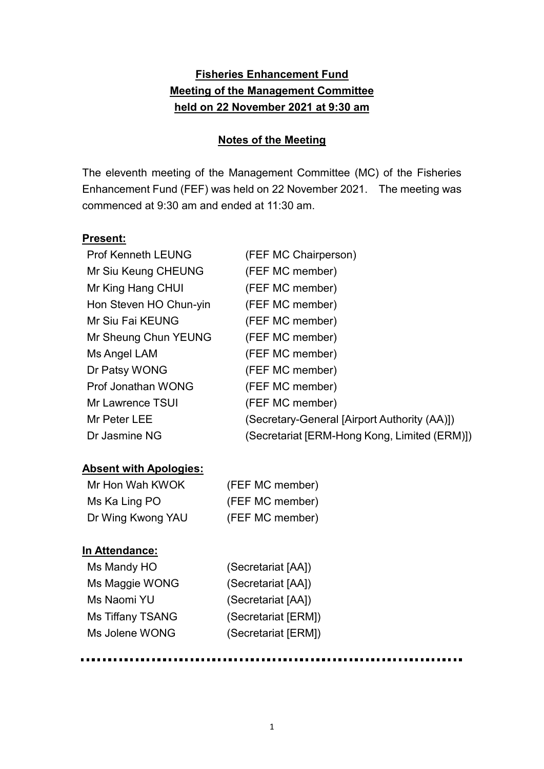# **Fisheries Enhancement Fund Meeting of the Management Committee held on 22 November 2021 at 9:30 am**

#### **Notes of the Meeting**

The eleventh meeting of the Management Committee (MC) of the Fisheries Enhancement Fund (FEF) was held on 22 November 2021. The meeting was commenced at 9:30 am and ended at 11:30 am.

#### **Present:**

| <b>Prof Kenneth LEUNG</b> | (FEF MC Chairperson)                         |
|---------------------------|----------------------------------------------|
| Mr Siu Keung CHEUNG       | (FEF MC member)                              |
| Mr King Hang CHUI         | (FEF MC member)                              |
| Hon Steven HO Chun-yin    | (FEF MC member)                              |
| Mr Siu Fai KEUNG          | (FEF MC member)                              |
| Mr Sheung Chun YEUNG      | (FEF MC member)                              |
| Ms Angel LAM              | (FEF MC member)                              |
| Dr Patsy WONG             | (FEF MC member)                              |
| Prof Jonathan WONG        | (FEF MC member)                              |
| Mr Lawrence TSUI          | (FEF MC member)                              |
| Mr Peter LEE              | (Secretary-General [Airport Authority (AA)]) |
| Dr Jasmine NG             | (Secretariat [ERM-Hong Kong, Limited (ERM)]) |
|                           |                                              |

## **Absent with Apologies:**

| Mr Hon Wah KWOK   | (FEF MC member) |
|-------------------|-----------------|
| Ms Ka Ling PO     | (FEF MC member) |
| Dr Wing Kwong YAU | (FEF MC member) |

#### **In Attendance:**

| Ms Mandy HO             |  |
|-------------------------|--|
| Ms Maggie WONG          |  |
| Ms Naomi YU             |  |
| <b>Ms Tiffany TSANG</b> |  |
| Ms Jolene WONG          |  |

(Secretariat [AA]) (Secretariat [AA]) (Secretariat [AA]) (Secretariat [ERM]) (Secretariat [ERM])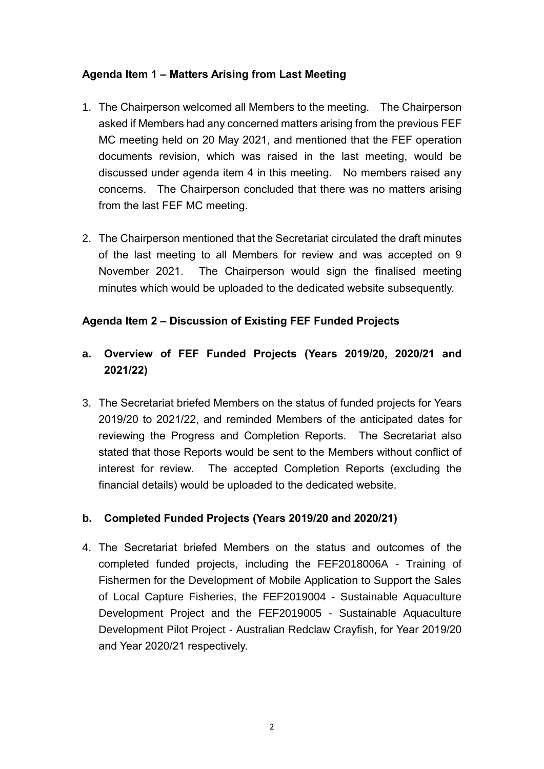### **Agenda Item 1 – Matters Arising from Last Meeting**

- 1. The Chairperson welcomed all Members to the meeting. The Chairperson asked if Members had any concerned matters arising from the previous FEF MC meeting held on 20 May 2021, and mentioned that the FEF operation documents revision, which was raised in the last meeting, would be discussed under agenda item 4 in this meeting. No members raised any concerns. The Chairperson concluded that there was no matters arising from the last FEF MC meeting.
- 2. The Chairperson mentioned that the Secretariat circulated the draft minutes of the last meeting to all Members for review and was accepted on 9 November 2021. The Chairperson would sign the finalised meeting minutes which would be uploaded to the dedicated website subsequently.

### **Agenda Item 2 – Discussion of Existing FEF Funded Projects**

## **a. Overview of FEF Funded Projects (Years 2019/20, 2020/21 and 2021/22)**

3. The Secretariat briefed Members on the status of funded projects for Years 2019/20 to 2021/22, and reminded Members of the anticipated dates for reviewing the Progress and Completion Reports. The Secretariat also stated that those Reports would be sent to the Members without conflict of interest for review. The accepted Completion Reports (excluding the financial details) would be uploaded to the dedicated website.

#### **b. Completed Funded Projects (Years 2019/20 and 2020/21)**

4. The Secretariat briefed Members on the status and outcomes of the completed funded projects, including the FEF2018006A - Training of Fishermen for the Development of Mobile Application to Support the Sales of Local Capture Fisheries, the FEF2019004 - Sustainable Aquaculture Development Project and the FEF2019005 - Sustainable Aquaculture Development Pilot Project - Australian Redclaw Crayfish, for Year 2019/20 and Year 2020/21 respectively.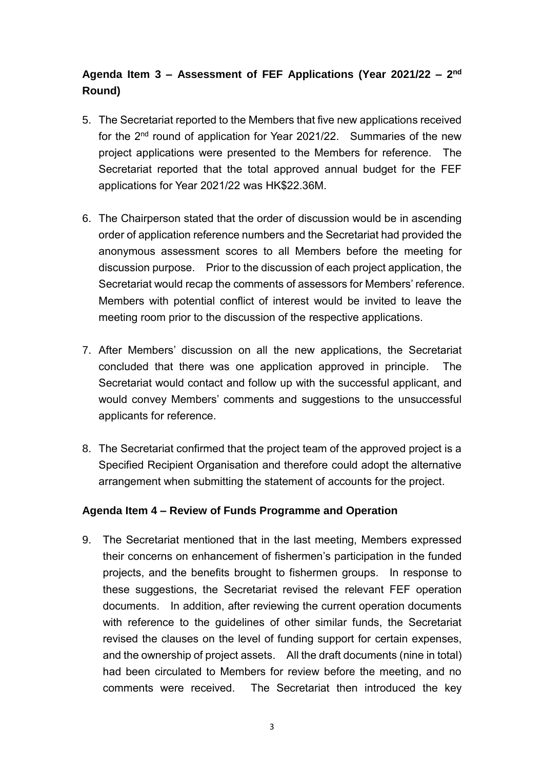# **Agenda Item 3 – Assessment of FEF Applications (Year 2021/22 – 2 nd Round)**

- 5. The Secretariat reported to the Members that five new applications received for the 2<sup>nd</sup> round of application for Year 2021/22. Summaries of the new project applications were presented to the Members for reference. The Secretariat reported that the total approved annual budget for the FEF applications for Year 2021/22 was HK\$22.36M.
- 6. The Chairperson stated that the order of discussion would be in ascending order of application reference numbers and the Secretariat had provided the anonymous assessment scores to all Members before the meeting for discussion purpose. Prior to the discussion of each project application, the Secretariat would recap the comments of assessors for Members' reference. Members with potential conflict of interest would be invited to leave the meeting room prior to the discussion of the respective applications.
- 7. After Members' discussion on all the new applications, the Secretariat concluded that there was one application approved in principle. The Secretariat would contact and follow up with the successful applicant, and would convey Members' comments and suggestions to the unsuccessful applicants for reference.
- 8. The Secretariat confirmed that the project team of the approved project is a Specified Recipient Organisation and therefore could adopt the alternative arrangement when submitting the statement of accounts for the project.

#### **Agenda Item 4 – Review of Funds Programme and Operation**

9. The Secretariat mentioned that in the last meeting, Members expressed their concerns on enhancement of fishermen's participation in the funded projects, and the benefits brought to fishermen groups. In response to these suggestions, the Secretariat revised the relevant FEF operation documents. In addition, after reviewing the current operation documents with reference to the guidelines of other similar funds, the Secretariat revised the clauses on the level of funding support for certain expenses, and the ownership of project assets. All the draft documents (nine in total) had been circulated to Members for review before the meeting, and no comments were received. The Secretariat then introduced the key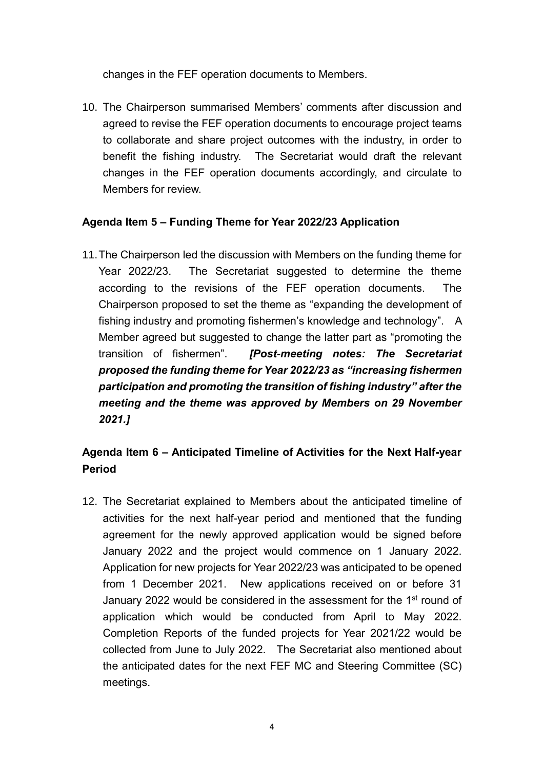changes in the FEF operation documents to Members.

10. The Chairperson summarised Members' comments after discussion and agreed to revise the FEF operation documents to encourage project teams to collaborate and share project outcomes with the industry, in order to benefit the fishing industry. The Secretariat would draft the relevant changes in the FEF operation documents accordingly, and circulate to Members for review.

### **Agenda Item 5 – Funding Theme for Year 2022/23 Application**

11.The Chairperson led the discussion with Members on the funding theme for Year 2022/23. The Secretariat suggested to determine the theme according to the revisions of the FEF operation documents. The Chairperson proposed to set the theme as "expanding the development of fishing industry and promoting fishermen's knowledge and technology". A Member agreed but suggested to change the latter part as "promoting the transition of fishermen". *[Post-meeting notes: The Secretariat proposed the funding theme for Year 2022/23 as "increasing fishermen participation and promoting the transition of fishing industry" after the meeting and the theme was approved by Members on 29 November 2021.]*

## **Agenda Item 6 – Anticipated Timeline of Activities for the Next Half-year Period**

12. The Secretariat explained to Members about the anticipated timeline of activities for the next half-year period and mentioned that the funding agreement for the newly approved application would be signed before January 2022 and the project would commence on 1 January 2022. Application for new projects for Year 2022/23 was anticipated to be opened from 1 December 2021. New applications received on or before 31 January 2022 would be considered in the assessment for the 1<sup>st</sup> round of application which would be conducted from April to May 2022. Completion Reports of the funded projects for Year 2021/22 would be collected from June to July 2022. The Secretariat also mentioned about the anticipated dates for the next FEF MC and Steering Committee (SC) meetings.